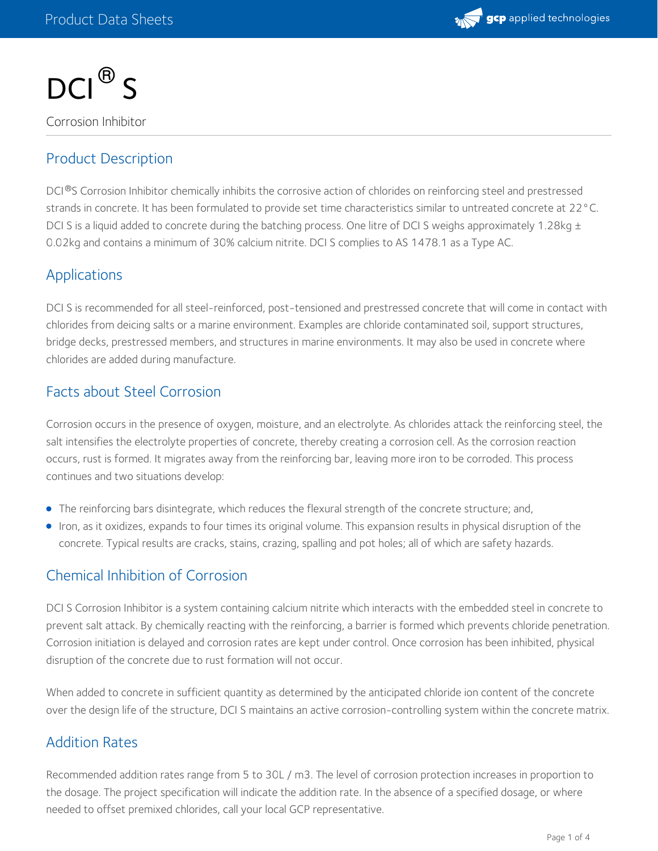



Corrosion Inhibitor

# Product Description

DCI®S Corrosion Inhibitor chemically inhibits the corrosive action of chlorides on reinforcing steel and prestressed strands in concrete. It has been formulated to provide set time characteristics similar to untreated concrete at 22°C. DCI S is a liquid added to concrete during the batching process. One litre of DCI S weighs approximately 1.28kg  $\pm$ 0.02kg and contains a minimum of 30% calcium nitrite. DCI S complies to AS 1478.1 as a Type AC.

### Applications

DCI S is recommended for all steel-reinforced, post-tensioned and prestressed concrete that will come in contact with chlorides from deicing salts or a marine environment. Examples are chloride contaminated soil, support structures, bridge decks, prestressed members, and structures in marine environments. It may also be used in concrete where chlorides are added during manufacture.

### Facts about Steel Corrosion

Corrosion occurs in the presence of oxygen, moisture, and an electrolyte. As chlorides attack the reinforcing steel, the salt intensifies the electrolyte properties of concrete, thereby creating a corrosion cell. As the corrosion reaction occurs, rust is formed. It migrates away from the reinforcing bar, leaving more iron to be corroded. This process continues and two situations develop:

- The reinforcing bars disintegrate, which reduces the flexural strength of the concrete structure; and,
- Iron, as it oxidizes, expands to four times its original volume. This expansion results in physical disruption of the concrete. Typical results are cracks, stains, crazing, spalling and pot holes; all of which are safety hazards.

### Chemical Inhibition of Corrosion

DCI S Corrosion Inhibitor is a system containing calcium nitrite which interacts with the embedded steel in concrete to prevent salt attack. By chemically reacting with the reinforcing, a barrier is formed which prevents chloride penetration. Corrosion initiation is delayed and corrosion rates are kept under control. Once corrosion has been inhibited, physical disruption of the concrete due to rust formation will not occur.

When added to concrete in sufficient quantity as determined by the anticipated chloride ion content of the concrete over the design life of the structure, DCI S maintains an active corrosion-controlling system within the concrete matrix.

### Addition Rates

Recommended addition rates range from 5 to 30L / m3. The level of corrosion protection increases in proportion to the dosage. The project specification will indicate the addition rate. In the absence of a specified dosage, or where needed to offset premixed chlorides, call your local GCP representative.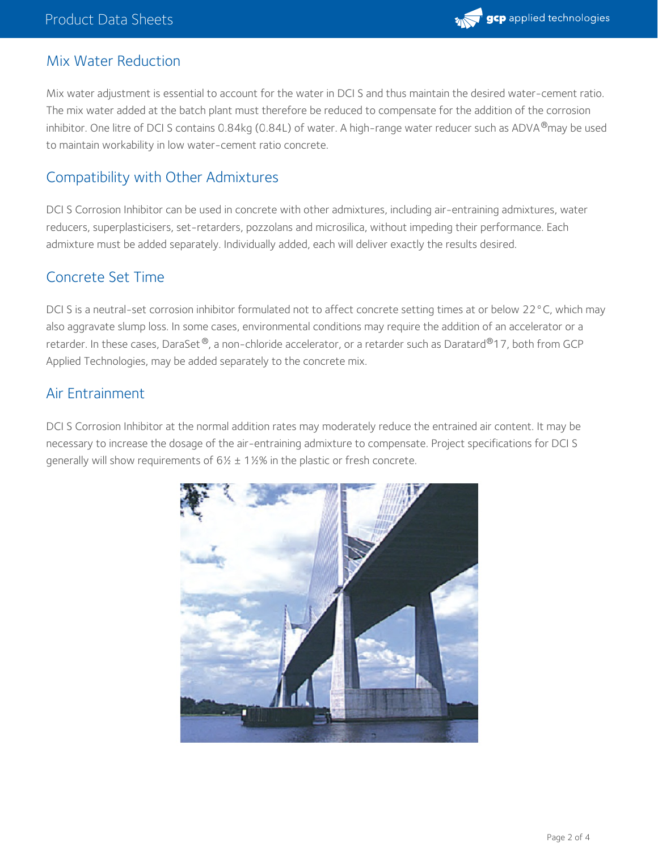

# Mix Water Reduction

Mix water adjustment is essential to account for the water in DCI S and thus maintain the desired water-cement ratio. The mix water added at the batch plant must therefore be reduced to compensate for the addition of the corrosion inhibitor. One litre of DCI S contains 0.84kg (0.84L) of water. A high-range water reducer such as ADVA®may be used to maintain workability in low water-cement ratio concrete.

# Compatibility with Other Admixtures

DCI S Corrosion Inhibitor can be used in concrete with other admixtures, including air-entraining admixtures, water reducers, superplasticisers, set-retarders, pozzolans and microsilica, without impeding their performance. Each admixture must be added separately. Individually added, each will deliver exactly the results desired.

### Concrete Set Time

DCI S is a neutral-set corrosion inhibitor formulated not to affect concrete setting times at or below 22°C, which may also aggravate slump loss. In some cases, environmental conditions may require the addition of an accelerator or a retarder. In these cases, DaraSet ®, a non-chloride accelerator, or a retarder such as Daratard®17, both from GCP Applied Technologies, may be added separately to the concrete mix.

# Air Entrainment

DCI S Corrosion Inhibitor at the normal addition rates may moderately reduce the entrained air content. It may be necessary to increase the dosage of the air-entraining admixture to compensate. Project specifications for DCI S generally will show requirements of  $6\frac{1}{2}$  ± 1½% in the plastic or fresh concrete.

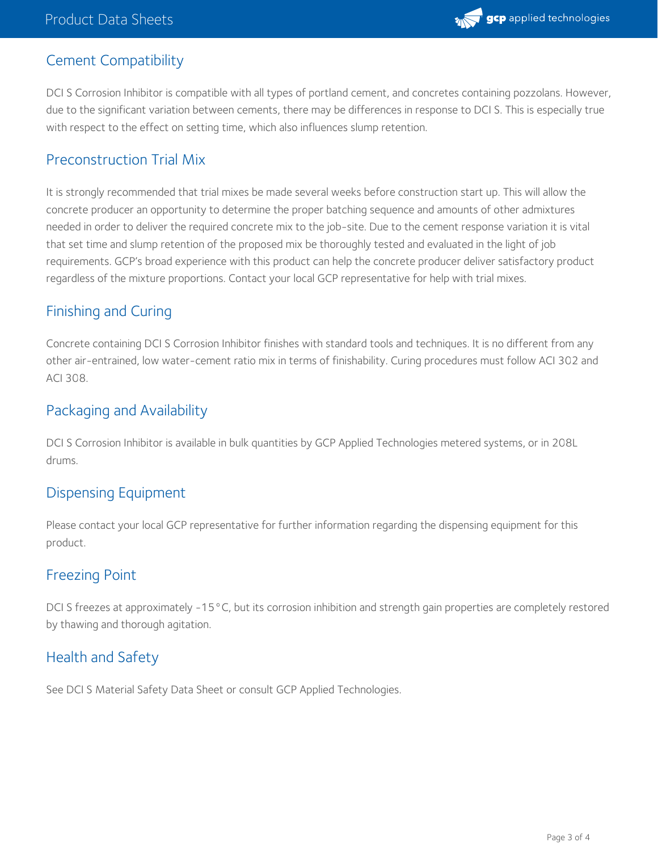

# Cement Compatibility

DCI S Corrosion Inhibitor is compatible with all types of portland cement, and concretes containing pozzolans. However, due to the significant variation between cements, there may be differences in response to DCI S. This is especially true with respect to the effect on setting time, which also influences slump retention.

### Preconstruction Trial Mix

It is strongly recommended that trial mixes be made several weeks before construction start up. This will allow the concrete producer an opportunity to determine the proper batching sequence and amounts of other admixtures needed in order to deliver the required concrete mix to the job-site. Due to the cement response variation it is vital that set time and slump retention of the proposed mix be thoroughly tested and evaluated in the light of job requirements. GCP's broad experience with this product can help the concrete producer deliver satisfactory product regardless of the mixture proportions. Contact your local GCP representative for help with trial mixes.

# Finishing and Curing

Concrete containing DCI S Corrosion Inhibitor finishes with standard tools and techniques. It is no different from any other air-entrained, low water-cement ratio mix in terms of finishability. Curing procedures must follow ACI 302 and ACI 308.

# Packaging and Availability

DCI S Corrosion Inhibitor is available in bulk quantities by GCP Applied Technologies metered systems, or in 208L drums.

### Dispensing Equipment

Please contact your local GCP representative for further information regarding the dispensing equipment for this product.

### Freezing Point

DCI S freezes at approximately -15°C, but its corrosion inhibition and strength gain properties are completely restored by thawing and thorough agitation.

# Health and Safety

See DCI S Material Safety Data Sheet or consult GCP Applied Technologies.